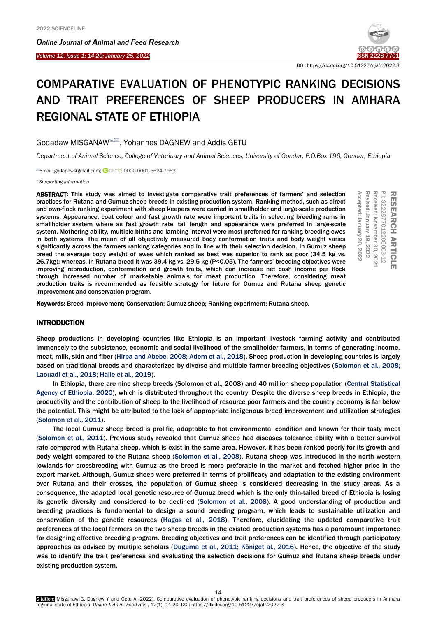í

*Online Journal of A[nimal and](http://www.ojafr.ir/main/) Feed Research Volume 12, Issue 1: 14-20; January 25, 2022* I[SSN 2228-7701](mailto:www.ojafr.ir)



DOI: https://dx.doi.org/10.51227/ojafr.2022.3

# COMPARATIVE EVALUATION OF PHENOTYPIC RANKING DECISIONS AND TRAIT PREFERENCES OF SHEEP PRODUCERS IN AMHARA REGIONAL STATE OF ETHIOPIA

Godadaw MISGANAW<sup>®</sup>, Yohannes DAGNEW and Addis GETU

*Department of Animal Science, College of Veterinary and Animal Sciences, University of Gondar, P.O.Box 196, Gondar, Ethiopia*

**Email: godadaw@gmail.com; CORCID: 0000-0001-5624-7983** 

*[Supporting Information](#page-5-0)*

ABSTRACT: This study was aimed to investigate comparative trait preferences of farmers' and selection practices for Rutana and Gumuz sheep breeds in existing production system. Ranking method, such as direct and own-flock ranking experiment with sheep keepers were carried in smallholder and large-scale production systems. Appearance, coat colour and fast growth rate were important traits in selecting breeding rams in smallholder system where as fast growth rate, tail length and appearance were preferred in large-scale system. Mothering ability, multiple births and lambing interval were most preferred for ranking breeding ewes in both systems. The mean of all objectively measured body conformation traits and body weight varies significantly across the farmers ranking categories and in line with their selection decision. In Gumuz sheep breed the average body weight of ewes which ranked as best was superior to rank as poor (34.5 kg vs. 26.7kg); whereas, in Rutana breed it was 39.4 kg vs. 29.5 kg (P<0.05). The farmers' breeding objectives were improving reproduction, conformation and growth traits, which can increase net cash income per flock through increased number of marketable animals for meat production. Therefore, considering meat production traits is recommended as feasible strategy for future for Gumuz and Rutana sheep genetic improvement and conservation program. **ABSTRACT:** This study was aimed to investigate comparative trait preferences of farmers' and selection<br>practices for Rutana and Gumuz sheep breeds in existing production system. Ranking method, such as direct<br>parameters

A **RTICLE** PII: S222877012200003-12 S222877012200003-12 Received: November Received: November 30, 2021 Revised: January Revised: January 19, 2022 Accepted: January Accepted: January 20, 2022

#### INTRODUCTION

Sheep productions in developing countries like Ethiopia is an important livestock farming activity and contributed immensely to the subsistence, economic and social livelihood of the smallholder farmers, in terms of generating income, meat, milk, skin and fiber [\(Hirpa and Abebe, 2008; Adem et al., 2018\).](#page-5-0) Sheep production in developing countries is largely based on traditional breeds and characterized by diverse and multiple farmer breeding objectives [\(Solomon et al., 2008;](#page-5-0)  [Laouadi et al., 2018; Haile et al., 2019\).](#page-5-0) 

In Ethiopia, there are nine sheep breeds ([Solomon et al., 2008](#page-5-0)) and 40 million sheep population [\(Central Statistical](#page-5-0)  [Agency of Ethiopia, 2020\),](#page-5-0) which is distributed throughout the country. Despite the diverse sheep breeds in Ethiopia, the productivity and the contribution of sheep to the livelihood of resource poor farmers and the country economy is far below the potential. This might be attributed to the lack of appropriate indigenous breed improvement and utilization strategies [\(Solomon et al., 2011\)](#page-5-0).

The local Gumuz sheep breed is prolific, adaptable to hot environmental condition and known for their tasty meat [\(Solomon et al., 2011\).](#page-5-0) Previous study revealed that Gumuz sheep had diseases tolerance ability with a better survival rate compared with Rutana sheep, which is exist in the same area. However, it has been ranked poorly for its growth and body weight compared to the Rutana sheep [\(Solomon et al., 2008\).](#page-5-0) Rutana sheep was introduced in the north western lowlands for crossbreeding with Gumuz as the breed is more preferable in the market and fetched higher price in the export market. Although, Gumuz sheep were preferred in terms of prolificacy and adaptation to the existing environment over Rutana and their crosses, the population of Gumuz sheep is considered decreasing in the study areas. As a consequence, the adapted local genetic resource of Gumuz breed which is the only thin-tailed breed of Ethiopia is losing its genetic diversity and considered to be declined [\(Solomon et al., 2008\).](#page-5-0) A good understanding of production and breeding practices is fundamental to design a sound breeding program, which leads to sustainable utilization and conservation of the genetic resources [\(Hagos et al., 2018\).](#page-5-0) Therefore, elucidating the updated comparative trait preferences of the local farmers on the two sheep breeds in the existed production systems has a paramount importance for designing effective breeding program. Breeding objectives and trait preferences can be identified through participatory approaches as advised by multiple scholars [\(Duguma et al., 2011; Königet al., 2016\).](#page-5-0) Hence, the objective of the study was to identify the trait preferences and evaluating the selection decisions for Gumuz and Rutana sheep breeds under existing production system.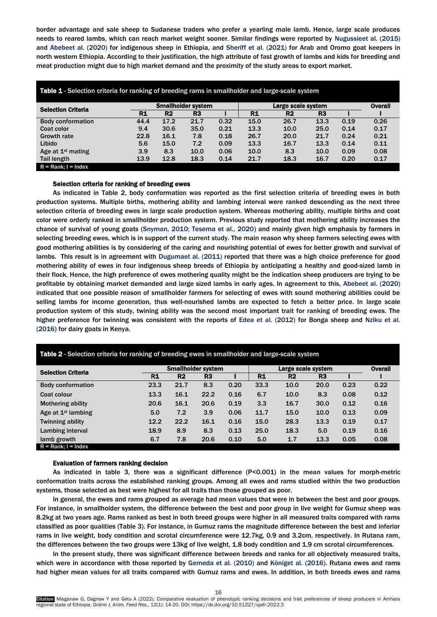border advantage and sale sheep to Sudanese traders who prefer a yearling male lamb. Hence, large scale produces needs to reared lambs, which can reach market weight sooner. Similar findings were reported by Nugussieet al. (2015) and Abebeet al. (2020) for indigenous sheep in Ethiopia, and Sheriff et al. (2021) for Arab and Oromo goat keepers in north western Ethiopia. According to their justification, the high attribute of fast growth of lambs and kids for breeding and meat production might due to high market demand and the proximity of the study areas to export market.

| <b>Table 1</b> - Selection criteria for ranking of breeding rams in smallholder and large-scale system |      |                |                           |      |           |                |                |      |      |
|--------------------------------------------------------------------------------------------------------|------|----------------|---------------------------|------|-----------|----------------|----------------|------|------|
| <b>Selection Criteria</b>                                                                              |      |                | <b>Smallholder system</b> |      |           | <b>Overall</b> |                |      |      |
|                                                                                                        | R1   | R <sub>2</sub> | R3                        |      | <b>R1</b> | R <sub>2</sub> | R <sub>3</sub> |      |      |
| <b>Body conformation</b>                                                                               | 44.4 | 17.2           | 21.7                      | 0.32 | 15.0      | 26.7           | 13.3           | 0.19 | 0.26 |
| Coat color                                                                                             | 9.4  | 30.6           | 35.0                      | 0.21 | 13.3      | 10.0           | 25.0           | 0.14 | 0.17 |
| <b>Growth rate</b>                                                                                     | 22.8 | 16.1           | 7.8                       | 0.18 | 26.7      | 20.0           | 21.7           | 0.24 | 0.21 |
| Libido                                                                                                 | 5.6  | 15.0           | 7.2                       | 0.09 | 13.3      | 16.7           | 13.3           | 0.14 | 0.11 |
| Age at $1st$ mating                                                                                    | 3.9  | 8.3            | 10.0                      | 0.06 | 10.0      | 8.3            | 10.0           | 0.09 | 0.08 |
| <b>Tail length</b>                                                                                     | 13.9 | 12.8           | 18.3                      | 0.14 | 21.7      | 18.3           | 16.7           | 0.20 | 0.17 |
| $R = Rank: I = Index$                                                                                  |      |                |                           |      |           |                |                |      |      |

# Selection criteria for ranking of breeding ewes

As indicated in Table 2, body conformation was reported as the first selection criteria of breeding ewes in both production systems. Multiple births, mothering ability and lambing interval were ranked descending as the next three selection criteria of breeding ewes in large scale production system. Whereas mothering ability, multiple births and coat color were orderly ranked in smallholder production system. Previous study reported that mothering ability increases the chance of survival of young goats (Snyman, 2010; Tesema et al., 2020) and mainly given high emphasis by farmers in selecting breeding ewes, which is in support of the current study. The main reason why sheep farmers selecting ewes with good mothering abilities is by considering of the caring and nourishing potential of ewes for better growth and survival of lambs. This result is in agreement with Dugumaet al. (2011) reported that there was a high choice preference for good mothering ability of ewes in four indigenous sheep breeds of Ethiopia by anticipating a healthy and good-sized lamb in their flock. Hence, the high preference of ewes mothering quality might be the indication sheep producers are trying to be profitable by obtaining market demanded and large sized lambs in early ages. In agreement to this, Abebeet al. (2020) indicated that one possible reason of smallholder farmers for selecting of ewes with sound mothering abilities could be selling lambs for income generation, thus well-nourished lambs are expected to fetch a better price. In large scale production system of this study, twining ability was the second most important trait for ranking of breeding ewes. The higher preference for twinning was consistent with the reports of Edea et al. (2012) for Bonga sheep and Nziku et al. (2016) for dairy goats in Kenya.

| <b>Table 2</b> - Sciection chiena for ramming or precumg ewes in small lorder and large-scale system. |                           |                |                |      |           |                    |                |      |      |  |
|-------------------------------------------------------------------------------------------------------|---------------------------|----------------|----------------|------|-----------|--------------------|----------------|------|------|--|
| <b>Selection Criteria</b>                                                                             | <b>Smallholder system</b> |                |                |      |           | Large scale system |                |      |      |  |
|                                                                                                       | R1                        | R <sub>2</sub> | R <sub>3</sub> |      | <b>R1</b> | R2                 | R <sub>3</sub> |      |      |  |
| <b>Body conformation</b>                                                                              | 23.3                      | 21.7           | 8.3            | 0.20 | 33.3      | 10.0               | 20.0           | 0.23 | 0.22 |  |
| Coat colour                                                                                           | 13.3                      | 16.1           | 22.2           | 0.16 | 6.7       | 10.0               | 8.3            | 0.08 | 0.12 |  |
| <b>Mothering ability</b>                                                                              | 20.6                      | 16.1           | 20.6           | 0.19 | 3.3       | 16.7               | 30.0           | 0.12 | 0.16 |  |
| Age at $1st$ lambing                                                                                  | 5.0                       | 7.2            | 3.9            | 0.06 | 11.7      | 15.0               | 10.0           | 0.13 | 0.09 |  |
| <b>Twinning ability</b>                                                                               | 12.2                      | 22.2           | 16.1           | 0.16 | 15.0      | 28.3               | 13.3           | 0.19 | 0.17 |  |
| Lambing interval                                                                                      | 18.9                      | 8.9            | 8.3            | 0.13 | 25.0      | 18.3               | 5.0            | 0.19 | 0.16 |  |
| lamb growth                                                                                           | 6.7                       | 7.8            | 20.6           | 0.10 | 5.0       | 1.7                | 13.3           | 0.05 | 0.08 |  |
| $R = Rank$ ; $I = Index$                                                                              |                           |                |                |      |           |                    |                |      |      |  |

# Table 2 - Selection criteria for ranking of breeding ewes in smallholder and large-scale system

#### Evaluation of farmers ranking decision

As indicated in table 3, there was a significant difference (P<0.001) in the mean values for morph-metric conformation traits across the established ranking groups. Among all ewes and rams studied within the two production systems, those selected as best were highest for all traits than those grouped as poor.

In general, the ewes and rams grouped as average had mean values that were in between the best and poor groups. For instance, in smallholder system, the difference between the best and poor group in live weight for Gumuz sheep was 8.2kg at two years age. Rams ranked as best in both breed groups were higher in all measured traits compared with rams classified as poor qualities (Table 3). For instance, in Gumuz rams the magnitude difference between the best and inferior rams in live weight, body condition and scrotal circumference were 12.7kg, 0.9 and 3.2cm, respectively. In Rutana ram, the differences between the two groups were 13kg of live weight, 1.8 body condition and 1.9 cm scrotal circumferences.

In the present study, there was significant difference between breeds and ranks for all objectively measured traits, which were in accordance with those reported by Gemeda et al*.* (2010) and Königet al. (2016). Rutana ewes and rams had higher mean values for all traits compared with Gumuz rams and ewes. In addition, in both breeds ewes and rams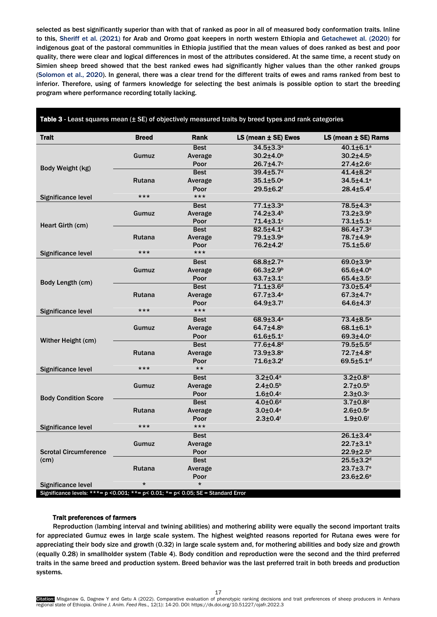selected as best significantly superior than with that of ranked as poor in all of measured body conformation traits. Inline to this, Sheriff et al. (2021) for Arab and Oromo goat keepers in north western Ethiopia and Getachewet al. (2020) for indigenous goat of the pastoral communities in Ethiopia justified that the mean values of does ranked as best and poor quality, there were clear and logical differences in most of the attributes considered. At the same time, a recent study on Simien sheep breed showed that the best ranked ewes had significantly higher values than the other ranked groups (Solomon et al., 2020). In general, there was a clear trend for the different traits of ewes and rams ranked from best to inferior. Therefore, using of farmers knowledge for selecting the best animals is possible option to start the breeding program where performance recording totally lacking.

| <b>Trait</b>                                                                            | <b>Breed</b>                                                                                                                                            | Rank                                                                                                                                                                                                                                                                                                                                                                                                                                                                                                                                                                                                                                                                                                                                                                                                                                                                                                                                                                                                                                                                                     | $LS$ (mean $\pm$ SE) Ewes   | $LS$ (mean $\pm$ SE) Rams   |  |
|-----------------------------------------------------------------------------------------|---------------------------------------------------------------------------------------------------------------------------------------------------------|------------------------------------------------------------------------------------------------------------------------------------------------------------------------------------------------------------------------------------------------------------------------------------------------------------------------------------------------------------------------------------------------------------------------------------------------------------------------------------------------------------------------------------------------------------------------------------------------------------------------------------------------------------------------------------------------------------------------------------------------------------------------------------------------------------------------------------------------------------------------------------------------------------------------------------------------------------------------------------------------------------------------------------------------------------------------------------------|-----------------------------|-----------------------------|--|
|                                                                                         |                                                                                                                                                         | <b>Best</b>                                                                                                                                                                                                                                                                                                                                                                                                                                                                                                                                                                                                                                                                                                                                                                                                                                                                                                                                                                                                                                                                              | $34.5 \pm 3.3$ <sup>a</sup> | $40.1 + 6.1$ <sup>a</sup>   |  |
| Body Weight (kg)<br><b>Body Condition Score</b>                                         | Gumuz                                                                                                                                                   | Average                                                                                                                                                                                                                                                                                                                                                                                                                                                                                                                                                                                                                                                                                                                                                                                                                                                                                                                                                                                                                                                                                  | $30.2{\pm}4.0^{\rm b}$      | $30.2{\pm}4.5^{\text{b}}$   |  |
|                                                                                         |                                                                                                                                                         | $26.7 + 4.7$ °<br>Poor<br><b>Best</b><br>$39.4 + 5.7$ <sup>d</sup><br>$35.1 \pm 5.0$ <sup>e</sup><br>Average<br>29.5±6.2f<br>Poor<br>$***$<br>$77.1 + 3.3^a$<br><b>Best</b><br>74.2±3.4 <sup>b</sup><br>Average<br>71.4±3.1c<br>Poor<br>$82.5 + 4.1$ <sup>d</sup><br><b>Best</b><br>79.1±3.9 <sup>e</sup><br>Average<br>76.2±4.2f<br>Poor<br>$***$<br>$68.8 \pm 2.7$ <sup>a</sup><br><b>Best</b><br>$66.3 \pm 2.9^b$<br>Average<br>63.7±3.1c<br>Poor<br><b>Best</b><br>$71.1 + 3.6$ d<br>$67.7 \pm 3.4$ <sup>e</sup><br>Average<br>64.9±3.7f<br>Poor<br>$***$<br><b>Best</b><br>$68.9{\pm}3.4^{\circ}$<br>$64.7 \pm 4.8$ <sup>b</sup><br>Average<br>$61.6 + 5.1$<br>Poor<br><b>Best</b><br>77.6±4.8 <sup>d</sup><br>$73.9 + 3.8$ <sup>e</sup><br>Average<br>71.6±3.2f<br>Poor<br>$***$<br>$3.2 \pm 0.4^a$<br><b>Best</b><br>$2.4 \pm 0.5^b$<br>Average<br>Poor<br>$1.6 \pm 0.4$ c<br><b>Best</b><br>$4.0 \pm 0.6$ <sup>d</sup><br>$3.0 \pm 0.4$ <sup>e</sup><br>Average<br>Poor<br>$2.3 + 0.4$ f<br>$***$<br><b>Best</b><br>Average<br>Poor<br><b>Best</b><br>Average<br>Poor<br>$\star$ | $27.4 \pm 2.6$ c            |                             |  |
|                                                                                         |                                                                                                                                                         |                                                                                                                                                                                                                                                                                                                                                                                                                                                                                                                                                                                                                                                                                                                                                                                                                                                                                                                                                                                                                                                                                          |                             | $41.4 + 8.2$ <sup>d</sup>   |  |
|                                                                                         | <b>Rutana</b>                                                                                                                                           |                                                                                                                                                                                                                                                                                                                                                                                                                                                                                                                                                                                                                                                                                                                                                                                                                                                                                                                                                                                                                                                                                          |                             | $34.5 + 4.1$ <sup>e</sup>   |  |
|                                                                                         |                                                                                                                                                         |                                                                                                                                                                                                                                                                                                                                                                                                                                                                                                                                                                                                                                                                                                                                                                                                                                                                                                                                                                                                                                                                                          |                             | $28.4 + 5.4$ <sup>f</sup>   |  |
| Significance level                                                                      | $***$                                                                                                                                                   |                                                                                                                                                                                                                                                                                                                                                                                                                                                                                                                                                                                                                                                                                                                                                                                                                                                                                                                                                                                                                                                                                          |                             |                             |  |
|                                                                                         |                                                                                                                                                         |                                                                                                                                                                                                                                                                                                                                                                                                                                                                                                                                                                                                                                                                                                                                                                                                                                                                                                                                                                                                                                                                                          |                             | 78.5±4.3ª                   |  |
|                                                                                         | Gumuz                                                                                                                                                   |                                                                                                                                                                                                                                                                                                                                                                                                                                                                                                                                                                                                                                                                                                                                                                                                                                                                                                                                                                                                                                                                                          |                             | $73.2 + 3.9b$               |  |
|                                                                                         |                                                                                                                                                         |                                                                                                                                                                                                                                                                                                                                                                                                                                                                                                                                                                                                                                                                                                                                                                                                                                                                                                                                                                                                                                                                                          |                             | 73.1±5.1c                   |  |
|                                                                                         |                                                                                                                                                         |                                                                                                                                                                                                                                                                                                                                                                                                                                                                                                                                                                                                                                                                                                                                                                                                                                                                                                                                                                                                                                                                                          |                             | $86.4 \pm 7.3$ <sup>d</sup> |  |
|                                                                                         | <b>Rutana</b>                                                                                                                                           |                                                                                                                                                                                                                                                                                                                                                                                                                                                                                                                                                                                                                                                                                                                                                                                                                                                                                                                                                                                                                                                                                          |                             | 78.7±4.9 <sup>e</sup>       |  |
|                                                                                         |                                                                                                                                                         |                                                                                                                                                                                                                                                                                                                                                                                                                                                                                                                                                                                                                                                                                                                                                                                                                                                                                                                                                                                                                                                                                          |                             | 75.1±5.6f                   |  |
| Significance level                                                                      | $***$                                                                                                                                                   |                                                                                                                                                                                                                                                                                                                                                                                                                                                                                                                                                                                                                                                                                                                                                                                                                                                                                                                                                                                                                                                                                          |                             |                             |  |
|                                                                                         |                                                                                                                                                         |                                                                                                                                                                                                                                                                                                                                                                                                                                                                                                                                                                                                                                                                                                                                                                                                                                                                                                                                                                                                                                                                                          |                             | 69.0 $\pm$ 3.9a             |  |
|                                                                                         | Gumuz                                                                                                                                                   |                                                                                                                                                                                                                                                                                                                                                                                                                                                                                                                                                                                                                                                                                                                                                                                                                                                                                                                                                                                                                                                                                          |                             | $65.6{\pm}4.0^{\circ}$      |  |
| Heart Girth (cm)<br>Body Length (cm)<br><b>Significance level</b><br>Wither Height (cm) |                                                                                                                                                         |                                                                                                                                                                                                                                                                                                                                                                                                                                                                                                                                                                                                                                                                                                                                                                                                                                                                                                                                                                                                                                                                                          |                             | 65.4±3.5c                   |  |
|                                                                                         |                                                                                                                                                         |                                                                                                                                                                                                                                                                                                                                                                                                                                                                                                                                                                                                                                                                                                                                                                                                                                                                                                                                                                                                                                                                                          |                             | 73.0±5.4 <sup>d</sup>       |  |
|                                                                                         | <b>Rutana</b>                                                                                                                                           |                                                                                                                                                                                                                                                                                                                                                                                                                                                                                                                                                                                                                                                                                                                                                                                                                                                                                                                                                                                                                                                                                          |                             | $67.3 + 4.7$ <sup>e</sup>   |  |
|                                                                                         |                                                                                                                                                         |                                                                                                                                                                                                                                                                                                                                                                                                                                                                                                                                                                                                                                                                                                                                                                                                                                                                                                                                                                                                                                                                                          |                             | 64.6±4.3f                   |  |
|                                                                                         | $***$                                                                                                                                                   |                                                                                                                                                                                                                                                                                                                                                                                                                                                                                                                                                                                                                                                                                                                                                                                                                                                                                                                                                                                                                                                                                          |                             |                             |  |
|                                                                                         |                                                                                                                                                         |                                                                                                                                                                                                                                                                                                                                                                                                                                                                                                                                                                                                                                                                                                                                                                                                                                                                                                                                                                                                                                                                                          |                             | $73.4 \pm 8.5^{\circ}$      |  |
|                                                                                         | Gumuz                                                                                                                                                   |                                                                                                                                                                                                                                                                                                                                                                                                                                                                                                                                                                                                                                                                                                                                                                                                                                                                                                                                                                                                                                                                                          |                             | $68.1 \pm 6.1$ <sup>b</sup> |  |
|                                                                                         |                                                                                                                                                         |                                                                                                                                                                                                                                                                                                                                                                                                                                                                                                                                                                                                                                                                                                                                                                                                                                                                                                                                                                                                                                                                                          |                             | $69.3 + 4.0$                |  |
|                                                                                         |                                                                                                                                                         |                                                                                                                                                                                                                                                                                                                                                                                                                                                                                                                                                                                                                                                                                                                                                                                                                                                                                                                                                                                                                                                                                          |                             | 79.5±5.5 <sup>d</sup>       |  |
|                                                                                         | <b>Rutana</b>                                                                                                                                           |                                                                                                                                                                                                                                                                                                                                                                                                                                                                                                                                                                                                                                                                                                                                                                                                                                                                                                                                                                                                                                                                                          |                             | 72.7±4.8 <sup>e</sup>       |  |
|                                                                                         |                                                                                                                                                         |                                                                                                                                                                                                                                                                                                                                                                                                                                                                                                                                                                                                                                                                                                                                                                                                                                                                                                                                                                                                                                                                                          |                             | $69.5 + 5.1$ <sup>cf</sup>  |  |
| <b>Significance level</b>                                                               | $***$                                                                                                                                                   |                                                                                                                                                                                                                                                                                                                                                                                                                                                                                                                                                                                                                                                                                                                                                                                                                                                                                                                                                                                                                                                                                          |                             |                             |  |
|                                                                                         |                                                                                                                                                         |                                                                                                                                                                                                                                                                                                                                                                                                                                                                                                                                                                                                                                                                                                                                                                                                                                                                                                                                                                                                                                                                                          |                             | $3.2 \pm 0.8^a$             |  |
|                                                                                         | Gumuz                                                                                                                                                   |                                                                                                                                                                                                                                                                                                                                                                                                                                                                                                                                                                                                                                                                                                                                                                                                                                                                                                                                                                                                                                                                                          |                             | $2.7 \pm 0.5^{\rm b}$       |  |
|                                                                                         | <b>Rutana</b><br>$***$<br>Gumuz<br><b>Rutana</b><br>$\star$<br>Significance levels: ***= $p$ <0.001; **= $p$ < 0.01; *= $p$ < 0.05; SE = Standard Error |                                                                                                                                                                                                                                                                                                                                                                                                                                                                                                                                                                                                                                                                                                                                                                                                                                                                                                                                                                                                                                                                                          | $2.3 \pm 0.3$ c             |                             |  |
|                                                                                         |                                                                                                                                                         |                                                                                                                                                                                                                                                                                                                                                                                                                                                                                                                                                                                                                                                                                                                                                                                                                                                                                                                                                                                                                                                                                          |                             | $3.7 \pm 0.8$ <sup>d</sup>  |  |
|                                                                                         |                                                                                                                                                         |                                                                                                                                                                                                                                                                                                                                                                                                                                                                                                                                                                                                                                                                                                                                                                                                                                                                                                                                                                                                                                                                                          |                             | $2.6 \pm 0.5$ <sup>e</sup>  |  |
|                                                                                         |                                                                                                                                                         |                                                                                                                                                                                                                                                                                                                                                                                                                                                                                                                                                                                                                                                                                                                                                                                                                                                                                                                                                                                                                                                                                          |                             | $1.9 + 0.6$ f               |  |
| <b>Significance level</b>                                                               |                                                                                                                                                         |                                                                                                                                                                                                                                                                                                                                                                                                                                                                                                                                                                                                                                                                                                                                                                                                                                                                                                                                                                                                                                                                                          |                             |                             |  |
|                                                                                         |                                                                                                                                                         |                                                                                                                                                                                                                                                                                                                                                                                                                                                                                                                                                                                                                                                                                                                                                                                                                                                                                                                                                                                                                                                                                          |                             | $26.1 \pm 3.4^a$            |  |
|                                                                                         |                                                                                                                                                         |                                                                                                                                                                                                                                                                                                                                                                                                                                                                                                                                                                                                                                                                                                                                                                                                                                                                                                                                                                                                                                                                                          |                             | $22.7 \pm 3.1$ <sup>b</sup> |  |
| <b>Scrotal Circumference</b>                                                            |                                                                                                                                                         |                                                                                                                                                                                                                                                                                                                                                                                                                                                                                                                                                                                                                                                                                                                                                                                                                                                                                                                                                                                                                                                                                          |                             | $22.9 + 2.5^b$              |  |
| (cm)                                                                                    |                                                                                                                                                         |                                                                                                                                                                                                                                                                                                                                                                                                                                                                                                                                                                                                                                                                                                                                                                                                                                                                                                                                                                                                                                                                                          |                             | $25.5 \pm 3.2$ d            |  |
|                                                                                         |                                                                                                                                                         |                                                                                                                                                                                                                                                                                                                                                                                                                                                                                                                                                                                                                                                                                                                                                                                                                                                                                                                                                                                                                                                                                          |                             | $23.7 \pm 3.7$ <sup>e</sup> |  |
|                                                                                         |                                                                                                                                                         |                                                                                                                                                                                                                                                                                                                                                                                                                                                                                                                                                                                                                                                                                                                                                                                                                                                                                                                                                                                                                                                                                          |                             | 23.6±2.6 <sup>e</sup>       |  |
| <b>Significance level</b>                                                               |                                                                                                                                                         |                                                                                                                                                                                                                                                                                                                                                                                                                                                                                                                                                                                                                                                                                                                                                                                                                                                                                                                                                                                                                                                                                          |                             |                             |  |
|                                                                                         |                                                                                                                                                         |                                                                                                                                                                                                                                                                                                                                                                                                                                                                                                                                                                                                                                                                                                                                                                                                                                                                                                                                                                                                                                                                                          |                             |                             |  |

Table 3 - Least squares mean (± SE) of objectively measured traits by breed types and rank categories

#### Trait preferences of farmers

Reproduction (lambing interval and twining abilities) and mothering ability were equally the second important traits for appreciated Gumuz ewes in large scale system. The highest weighted reasons reported for Rutana ewes were for appreciating their body size and growth (0.32) in large scale system and, for mothering abilities and body size and growth (equally 0.28) in smallholder system (Table 4). Body condition and reproduction were the second and the third preferred traits in the same breed and production system. Breed behavior was the last preferred trait in both breeds and production systems.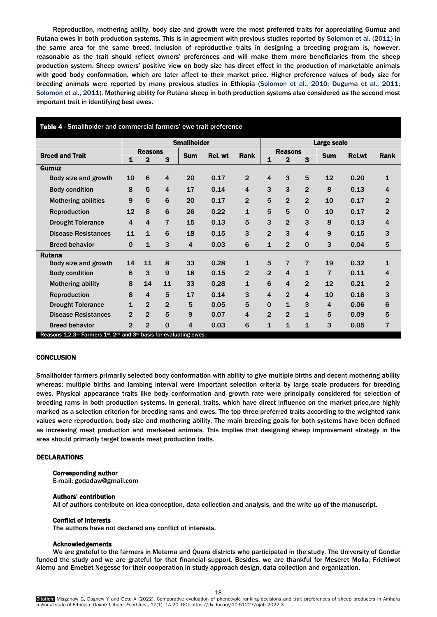Reproduction, mothering ability, body size and growth were the most preferred traits for appreciating Gumuz and Rutana ewes in both production systems. This is in agreement with previous studies reported by Solomon et al. (2011) in the same area for the same breed. Inclusion of reproductive traits in designing a breeding program is, however, reasonable as the trait should reflect owners' preferences and will make them more beneficiaries from the sheep production system. Sheep owners' positive view on body size has direct effect in the production of marketable animals with good body conformation, which are later affect to their market price. Higher preference values of body size for breeding animals were reported by many previous studies in Ethiopia (Solomon et al., 2010; Duguma et al., 2011; Solomon et al., 2011). Mothering ability for Rutana sheep in both production systems also considered as the second most important trait in identifying best ewes.

| Table 4 - Smallholder and commercial farmers' ewe trait preference                    |                |                    |                |         |      |                |                         |                |                         |                |      |                |  |
|---------------------------------------------------------------------------------------|----------------|--------------------|----------------|---------|------|----------------|-------------------------|----------------|-------------------------|----------------|------|----------------|--|
|                                                                                       |                | <b>Smallholder</b> |                |         |      |                |                         | Large scale    |                         |                |      |                |  |
| <b>Breed and Trait</b>                                                                | <b>Reasons</b> |                    | <b>Sum</b>     | Rel. wt | Rank | <b>Reasons</b> |                         |                | <b>Sum</b>              | <b>Rel.wt</b>  | Rank |                |  |
|                                                                                       | 1              | $\mathbf{2}$       | 3              |         |      |                | $\overline{\mathbf{1}}$ | $\mathbf{2}$   | 3                       |                |      |                |  |
| Gumuz                                                                                 |                |                    |                |         |      |                |                         |                |                         |                |      |                |  |
| Body size and growth                                                                  | 10             | 6                  | 4              | 20      | 0.17 | $\overline{2}$ | 4                       | 3              | 5                       | 12             | 0.20 | 1              |  |
| <b>Body condition</b>                                                                 | 8              | 5                  | $\overline{4}$ | 17      | 0.14 | 4              | 3                       | 3              | $\overline{2}$          | 8              | 0.13 | 4              |  |
| <b>Mothering abilities</b>                                                            | 9              | 5                  | 6              | 20      | 0.17 | $\overline{2}$ | 5                       | $\overline{2}$ | $\overline{2}$          | 10             | 0.17 | $\overline{2}$ |  |
| Reproduction                                                                          | 12             | 8                  | 6              | 26      | 0.22 | 1              | 5                       | 5              | $\Omega$                | 10             | 0.17 | $\overline{2}$ |  |
| <b>Drought Tolerance</b>                                                              | 4              | 4                  | $\overline{7}$ | 15      | 0.13 | 5              | 3                       | $\overline{2}$ | 3                       | 8              | 0.13 | 4              |  |
| <b>Disease Resistances</b>                                                            | 11             | $\mathbf{1}$       | 6              | 18      | 0.15 | 3              | $\overline{2}$          | 3              | $\overline{\mathbf{4}}$ | 9              | 0.15 | 3              |  |
| <b>Breed behavior</b>                                                                 | $\Omega$       | $\mathbf{1}$       | 3              | 4       | 0.03 | 6              | $\mathbf{1}$            | $\overline{2}$ | $\mathbf{0}$            | 3              | 0.04 | 5              |  |
| <b>Rutana</b>                                                                         |                |                    |                |         |      |                |                         |                |                         |                |      |                |  |
| Body size and growth                                                                  | 14             | 11                 | 8              | 33      | 0.28 | 1              | 5                       | 7              | $\overline{7}$          | 19             | 0.32 | 1              |  |
| <b>Body condition</b>                                                                 | 6              | 3                  | 9              | 18      | 0.15 | $\overline{2}$ | $\overline{2}$          | $\overline{4}$ | $\mathbf{1}$            | 7              | 0.11 | 4              |  |
| <b>Mothering ability</b>                                                              | 8              | 14                 | 11             | 33      | 0.28 | $\mathbf{1}$   | 6                       | $\overline{4}$ | $\overline{2}$          | 12             | 0.21 | $\overline{2}$ |  |
| Reproduction                                                                          | 8              | 4                  | 5              | 17      | 0.14 | 3              | $\overline{\mathbf{4}}$ | $\overline{2}$ | 4                       | 10             | 0.16 | 3              |  |
| <b>Drought Tolerance</b>                                                              | $\mathbf{1}$   | $\overline{2}$     | $\overline{2}$ | 5       | 0.05 | 5              | $\mathbf 0$             | $\mathbf{1}$   | 3                       | $\overline{4}$ | 0.06 | 6              |  |
| <b>Disease Resistances</b>                                                            | $\mathbf{2}$   | $\overline{2}$     | 5              | 9       | 0.07 | 4              | $\overline{2}$          | $\overline{2}$ | $\mathbf{1}$            | 5              | 0.09 | 5              |  |
| <b>Breed behavior</b>                                                                 | $\overline{2}$ | $\overline{2}$     | $\Omega$       | 4       | 0.03 | 6              | $\mathbf{1}$            | 1              | $\mathbf{1}$            | 3              | 0.05 | 7              |  |
| Reasons $1,2,3$ = Farmers $1^{st}$ , $2^{nd}$ and $3^{rd}$ basis for evaluating ewes. |                |                    |                |         |      |                |                         |                |                         |                |      |                |  |

### **CONCLUSION**

Smallholder farmers primarily selected body conformation with ability to give multiple births and decent mothering ability whereas; multiple births and lambing interval were important selection criteria by large scale producers for breeding ewes. Physical appearance traits like body conformation and growth rate were principally considered for selection of breeding rams in both production systems. In general, traits, which have direct influence on the market price,are highly marked as a selection criterion for breeding rams and ewes. The top three preferred traits according to the weighted rank values were reproduction, body size and mothering ability. The main breeding goals for both systems have been defined as increasing meat production and marketed animals. This implies that designing sheep improvement strategy in the area should primarily target towards meat production traits.

#### DECLARATIONS

# Corresponding author

E-mail: godadaw@gmail.com

#### Authors' contribution

All of authors contribute on idea conception, data collection and analysis, and the write up of the manuscript.

#### Conflict of interests

The authors have not declared any conflict of interests.

#### Acknowledgements

We are grateful to the farmers in Metema and Quara districts who participated in the study. The University of Gondar funded the study and we are grateful for that financial support. Besides, we are thankful for Meseret Molla, Friehiwot Alemu and Emebet Negesse for their cooperation in study approach design, data collection and organization.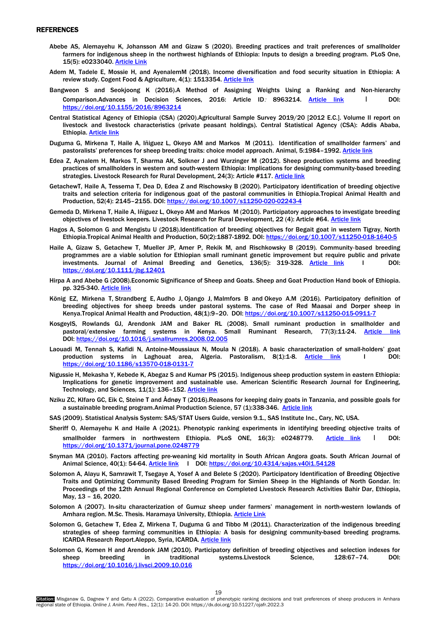## <span id="page-5-0"></span>REFERENCES

- Abebe AS, Alemayehu K, Johansson AM and Gizaw S (2020). Breeding practices and trait preferences of smallholder farmers for indigenous sheep in the northwest highlands of Ethiopia: Inputs to design a breeding program. PLoS One, 15(5): e0233040. [Article Link](https://journals.plos.org/plosone/article?id=10.1371/journal.pone.0233040)
- Adem M, Tadele E, Mossie H, and AyenalemM (2018). Income diversification and food security situation in Ethiopia: A review study. Cogent Food & Agriculture, 4(1): 1513354. [Article link](https://www.tandfonline.com/doi/abs/10.1080/23311932.2018.1513354)
- Bangweon S and Seokjoong K (2016).A Method of Assigning Weights Using a Ranking and Non-hierarchy Comparison.Advances in Decision Sciences, 2016: Article ID: 8963214. [Article link](https://downloads.hindawi.com/archive/2016/8963214.pdf) I DOI: <https://doi.org/10.1155/2016/8963214>
- Central Statistical Agency of Ethiopia (CSA) (2020).Agricultural Sample Survey 2019/20 [2012 E.C.]. Volume II report on livestock and livestock characteristics (private peasant holdings). Central Statistical Agency (CSA): Addis Ababa, Ethiopia. [Article link](http://www.csa.gov.et/survey-report/category/370-eth-agss2019/20)
- Duguma G, Mirkena T, Haile A, Iñiguez L, Okeyo AM and Markos M (2011). Identification of smallholder farmers' and pastoralists' preferences for sheep breeding traits: choice model approach. Animal, 5:1984–1992. [Article link](https://www.cambridge.org/core/journals/animal/article/identification-of-smallholder-farmers-and-pastoralists-preferences-for-sheep-breeding-traits-choice-model-approach/2D52DA017A21C8F4C04D0AFFDA7AC61A)
- Edea Z, Aynalem H, Markos T, Sharma AK, Solkner J and Wurzinger M (2012). Sheep production systems and breeding practices of smallholders in western and south-western Ethiopia: Implications for designing community-based breeding strategies. Livestock Research for Rural Development, 24(3): Article #117[. Article link](http://lrrd.cipav.org.co/lrrd24/7/edea24117.htm)
- GetachewT, Haile A, Tessema T, Dea D, Edea Z and Rischowsky B (2020). Participatory identification of breeding objective traits and selection criteria for indigenous goat of the pastoral communities in Ethiopia.Tropical Animal Health and Production, 52(4): 2145–2155. DOI[: https://doi.org/10.1007/s11250-020-02243-4](https://doi.org/10.1007/s11250-020-02243-4)
- Gemeda D, Mirkena T, Haile A, Iñiguez L, Okeyo AM and Markos M (2010). Participatory approaches to investigate breeding objectives of livestock keepers. Livestock Research for Rural Development, 22 (4): Article #64. [Article link](http://www.lrrd.org/lrrd22/4/dugu22064.htm)
- Hagos A, Solomon G and Mengistu U (2018).Identification of breeding objectives for Begait goat in western Tigray, North Ethiopia.Tropical Animal Health and Production, 50(2):1887-1892. DOI[: https://doi.org/10.1007/s11250-018-1640-5](https://doi.org/10.1007/s11250-018-1640-5)
- Haile A, Gizaw S, Getachew T, Mueller JP, Amer P, Rekik M, and Rischkowsky B (2019). Community‐based breeding programmes are a viable solution for Ethiopian small ruminant genetic improvement but require public and private investments. Journal of Animal Breeding and Genetics, 136(5): 319-328. [Article link](https://onlinelibrary.wiley.com/doi/abs/10.1111/jbg.12401) I DOI: <https://doi.org/10.1111/jbg.12401>
- Hirpa A and Abebe G (2008).Economic Significance of Sheep and Goats. Sheep and Goat Production Hand book of Ethiopia. pp. 325-340. [Article link](http://esgpip.langston.edu/sites/default/files/Chapter%201_%20EconSignificance%20of%20Sheep%20and%20Goats_0.pdf)
- [König EZ,](https://www.ncbi.nlm.nih.gov/pubmed/?term=K%C3%B6nig%20EZ%5BAuthor%5D&cauthor=true&cauthor_uid=26374208) [Mirkena](https://www.ncbi.nlm.nih.gov/pubmed/?term=Mirkena%20T%5BAuthor%5D&cauthor=true&cauthor_uid=26374208) T, [Strandberg E,](https://www.ncbi.nlm.nih.gov/pubmed/?term=Strandberg%20E%5BAuthor%5D&cauthor=true&cauthor_uid=26374208) [Audho J,](https://www.ncbi.nlm.nih.gov/pubmed/?term=Audho%20J%5BAuthor%5D&cauthor=true&cauthor_uid=26374208) [Ojango J,](https://www.ncbi.nlm.nih.gov/pubmed/?term=Ojango%20J%5BAuthor%5D&cauthor=true&cauthor_uid=26374208) [Malmfors B](https://www.ncbi.nlm.nih.gov/pubmed/?term=Malmfors%20B%5BAuthor%5D&cauthor=true&cauthor_uid=26374208) and [Okeyo A.M](https://www.ncbi.nlm.nih.gov/pubmed/?term=Okeyo%20AM%5BAuthor%5D&cauthor=true&cauthor_uid=26374208) (2016). Participatory definition of breeding objectives for sheep breeds under pastoral systems. The case of Red Maasai and Dorper sheep in Kenya.Tropical Animal Health and Production, 48(1):9-20. DOI[: https://doi.org/10.1007/s11250-015-0911-7](https://doi.org/10.1007/s11250-015-0911-7)
- KosgeyIS, Rowlands GJ, Arendonk JAM and Baker RL (2008). Small ruminant production in smallholder and pastoral/extensive farming systems in Kenya. Small Ruminant Research*,* 77(3):11-24. [Article link](https://www.sciencedirect.com/science/article/pii/S0921448805000258) DOI: <https://doi.org/10.1016/j.smallrumres.2008.02.005>
- Laouadi M, Tennah S, Kafidi N, Antoine-Moussiaux N, Moula N (2018). A basic characterization of small-holders' goat production systems in Laghouat area, Algeria. Pastoralism, 8(1):1-8. [Article link](https://pastoralismjournal.springeropen.com/articles/10.1186/s13570-018-0131-7) I DOI: <https://doi.org/10.1186/s13570-018-0131-7>
- Nigussie H, Mekasha Y, Kebede K, Abegaz S and Kumar PS (2015). Indigenous sheep production system in eastern Ethiopia: Implications for genetic improvement and sustainable use. American Scientific Research Journal for Engineering, Technology, and Sciences*,* 11(1): 136–152[. Article link](https://asrjetsjournal.org/index.php/American_Scientific_Journal/article/view/603)
- Nziku ZC, KIfaro GC, Eik C, Steine T and Ådnøy T (2016).Reasons for keeping dairy goats in Tanzania, and possible goals for a sustainable breeding program. Animal Production Science, 57 (1):338-346. [Article link](https://www.publish.csiro.au/an/an15423)
- SAS (2009). Statistical Analysis System: SAS/STAT Users Guide, version 9.1., SAS Institute Inc., Cary, NC, USA.
- Sheriff O, Alemayehu K and Haile A (2021). Phenotypic ranking experiments in identifying breeding objective traits of smallholder farmers in northwestern Ethiopia. PLoS ONE, 16(3): e0248779. [Article link](https://journals.plos.org/plosone/article?id=10.1371/journal.pone.0248779) I DOI: <https://doi.org/10.1371/journal.pone.0248779>
- Snyman MA (2010). Factors affecting pre-weaning kid mortality in South African Angora goats. South African Journal of Animal Science, 40(1): 54-64. [Article link](https://www.ajol.info/index.php/sajas/article/view/54128) I DOI:<https://doi.org/10.4314/sajas.v40i1.54128>
- Solomon A, Alayu K, Samrawit T, Tsegaye A, Yosef A and Belete S (2020). Participatory Identification of Breeding Objective Traits and Optimizing Community Based Breeding Program for Simien Sheep in the Highlands of North Gondar. In: Proceedings of the 12th Annual Regional Conference on Completed Livestock Research Activities Bahir Dar, Ethiopia, May, 13 – 16, 2020.
- Solomon A (2007). In-situ characterization of Gumuz sheep under farmers' management in north-western lowlands of Amhara region. M.Sc. Thesis. Haramaya University, Ethiopia. [Article Link](https://scirp.org/reference/referencespapers.aspx?referenceid=1310821)
- Solomon G, Getachew T, Edea Z, Mirkena T, Duguma G and Tibbo M (2011). Characterization of the indigenous breeding strategies of sheep farming communities in Ethiopia*:* A basis for designing community-based breeding programs. ICARDA Research Report.Aleppo, Syria, ICARDA. [Article link](https://hdl.handle.net/20.500.11766/7796)
- Solomon G, Komen H and Arendonk JAM (2010). Participatory definition of breeding objectives and selection indexes for sheep breeding in traditional systems.Livestock Science, 128:67–74. DOI: <https://doi.org/10.1016/j.livsci.2009.10.016>